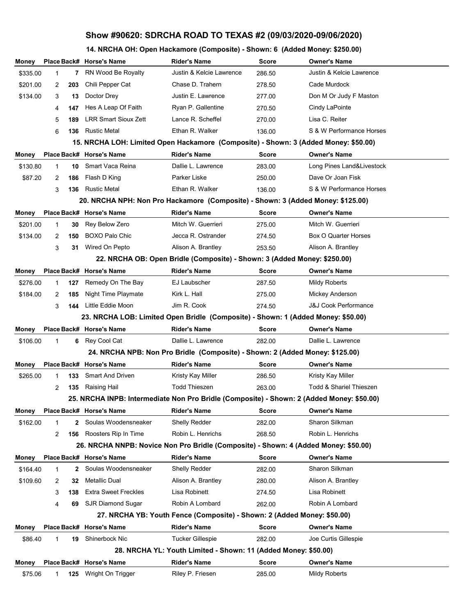## **Show #90620: SDRCHA ROAD TO TEXAS #2 (09/03/2020-09/06/2020)**

## **14. NRCHA OH: Open Hackamore (Composite) - Shown: 6 (Added Money: \$250.00)**

| Money    |   |              | Place Back# Horse's Name                                                                  | <b>Rider's Name</b>                                                              | Score        | <b>Owner's Name</b>             |
|----------|---|--------------|-------------------------------------------------------------------------------------------|----------------------------------------------------------------------------------|--------------|---------------------------------|
| \$335.00 | 1 | 7            | RN Wood Be Royalty                                                                        | Justin & Kelcie Lawrence                                                         | 286.50       | Justin & Kelcie Lawrence        |
| \$201.00 | 2 | 203          | Chili Pepper Cat                                                                          | Chase D. Trahern                                                                 | 278.50       | Cade Murdock                    |
| \$134.00 | 3 | 13           | Doctor Drey                                                                               | Justin E. Lawrence                                                               | 277.00       | Don M Or Judy F Maston          |
|          | 4 | 147          | Hes A Leap Of Faith                                                                       | Ryan P. Gallentine                                                               | 270.50       | Cindy LaPointe                  |
|          | 5 | 189          | <b>LRR Smart Sioux Zett</b>                                                               | Lance R. Scheffel                                                                | 270.00       | Lisa C. Reiter                  |
|          | 6 | 136          | <b>Rustic Metal</b>                                                                       | Ethan R. Walker                                                                  | 136.00       | S & W Performance Horses        |
|          |   |              | 15. NRCHA LOH: Limited Open Hackamore (Composite) - Shown: 3 (Added Money: \$50.00)       |                                                                                  |              |                                 |
| Money    |   |              | Place Back# Horse's Name                                                                  | <b>Rider's Name</b>                                                              | <b>Score</b> | <b>Owner's Name</b>             |
| \$130.80 | 1 | 10           | Smart Vaca Reina                                                                          | Dallie L. Lawrence                                                               | 283.00       | Long Pines Land&Livestock       |
| \$87.20  | 2 | 186          | Flash D King                                                                              | Parker Liske                                                                     | 250.00       | Dave Or Joan Fisk               |
|          | 3 | 136          | <b>Rustic Metal</b>                                                                       | Ethan R. Walker                                                                  | 136.00       | S & W Performance Horses        |
|          |   |              | 20. NRCHA NPH: Non Pro Hackamore (Composite) - Shown: 3 (Added Money: \$125.00)           |                                                                                  |              |                                 |
| Money    |   |              | Place Back# Horse's Name                                                                  | <b>Rider's Name</b>                                                              | Score        | <b>Owner's Name</b>             |
| \$201.00 | 1 | 30           | Rey Below Zero                                                                            | Mitch W. Guerrieri                                                               | 275.00       | Mitch W. Guerrieri              |
| \$134.00 | 2 | 150          | <b>BOXO Palo Chic</b>                                                                     | Jecca R. Ostrander                                                               | 274.50       | Box O Quarter Horses            |
|          | 3 | 31           | Wired On Pepto                                                                            | Alison A. Brantley                                                               | 253.50       | Alison A. Brantley              |
|          |   |              |                                                                                           | 22. NRCHA OB: Open Bridle (Composite) - Shown: 3 (Added Money: \$250.00)         |              |                                 |
| Money    |   |              | Place Back# Horse's Name                                                                  | <b>Rider's Name</b>                                                              | <b>Score</b> | <b>Owner's Name</b>             |
| \$276.00 | 1 | 127          | Remedy On The Bay                                                                         | EJ Laubscher                                                                     | 287.50       | <b>Mildy Roberts</b>            |
| \$184.00 | 2 | 185          | Night Time Playmate                                                                       | Kirk L. Hall                                                                     | 275.00       | Mickey Anderson                 |
|          | 3 | 144          | Little Eddie Moon                                                                         | Jim R. Cook                                                                      | 274.50       | <b>J&amp;J Cook Performance</b> |
|          |   |              |                                                                                           | 23. NRCHA LOB: Limited Open Bridle (Composite) - Shown: 1 (Added Money: \$50.00) |              |                                 |
|          |   |              |                                                                                           |                                                                                  |              |                                 |
| Money    |   |              | Place Back# Horse's Name                                                                  | <b>Rider's Name</b>                                                              | <b>Score</b> | <b>Owner's Name</b>             |
| \$106.00 | 1 | 6            | Rey Cool Cat                                                                              | Dallie L. Lawrence                                                               | 282.00       | Dallie L. Lawrence              |
|          |   |              |                                                                                           | 24. NRCHA NPB: Non Pro Bridle (Composite) - Shown: 2 (Added Money: \$125.00)     |              |                                 |
| Money    |   |              | Place Back# Horse's Name                                                                  | <b>Rider's Name</b>                                                              | Score        | <b>Owner's Name</b>             |
| \$265.00 | 1 | 133          | <b>Smart And Driven</b>                                                                   | Kristy Kay Miller                                                                | 286.50       | Kristy Kay Miller               |
|          | 2 | 135          | Raising Hail                                                                              | <b>Todd Thieszen</b>                                                             | 263.00       | Todd & Shariel Thieszen         |
|          |   |              | 25. NRCHA INPB: Intermediate Non Pro Bridle (Composite) - Shown: 2 (Added Money: \$50.00) |                                                                                  |              |                                 |
| Money    |   |              | Place Back# Horse's Name                                                                  | Rider's Name                                                                     | Score        | <b>Owner's Name</b>             |
| \$162.00 | 1 | $\mathbf{2}$ | Soulas Woodensneaker                                                                      | Shelly Redder                                                                    | 282.00       | Sharon Silkman                  |
|          | 2 | 156          | Roosters Rip In Time                                                                      | Robin L. Henrichs                                                                | 268.50       | Robin L. Henrichs               |
|          |   |              | 26. NRCHA NNPB: Novice Non Pro Bridle (Composite) - Shown: 4 (Added Money: \$50.00)       |                                                                                  |              |                                 |
| Money    |   |              | Place Back# Horse's Name                                                                  | Rider's Name                                                                     | <b>Score</b> | <b>Owner's Name</b>             |
| \$164.40 | 1 | $\mathbf{2}$ | Soulas Woodensneaker                                                                      | Shelly Redder                                                                    | 282.00       | Sharon Silkman                  |
| \$109.60 | 2 | 32           | <b>Metallic Dual</b>                                                                      | Alison A. Brantley                                                               | 280.00       | Alison A. Brantley              |
|          | 3 | 138          | <b>Extra Sweet Freckles</b>                                                               | Lisa Robinett                                                                    | 274.50       | Lisa Robinett                   |
|          | 4 | 69           | SJR Diamond Sugar                                                                         | Robin A Lombard                                                                  | 262.00       | Robin A Lombard                 |
|          |   |              |                                                                                           | 27. NRCHA YB: Youth Fence (Composite) - Shown: 2 (Added Money: \$50.00)          |              |                                 |
| Money    |   |              | Place Back# Horse's Name                                                                  | <b>Rider's Name</b>                                                              | Score        | <b>Owner's Name</b>             |
| \$86.40  |   | 19           | Shinerbock Nic                                                                            | Tucker Gillespie                                                                 | 282.00       | Joe Curtis Gillespie            |
|          |   |              |                                                                                           | 28. NRCHA YL: Youth Limited - Shown: 11 (Added Money: \$50.00)                   |              |                                 |
| Money    |   |              | Place Back# Horse's Name                                                                  | <b>Rider's Name</b>                                                              | Score        | <b>Owner's Name</b>             |